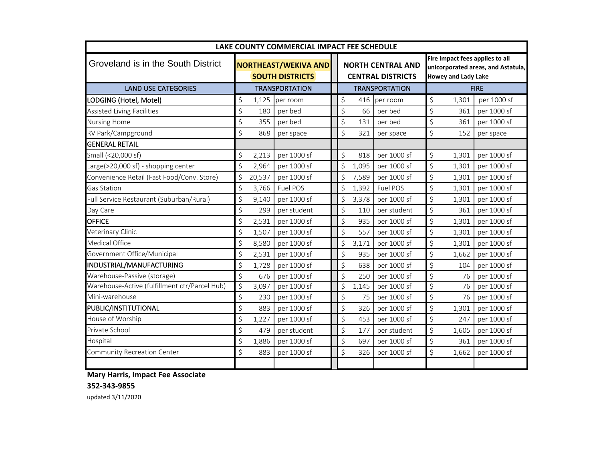| LAKE COUNTY COMMERCIAL IMPACT FEE SCHEDULE    |                                                       |        |             |  |                                                      |                                                                                                     |             |             |             |  |  |
|-----------------------------------------------|-------------------------------------------------------|--------|-------------|--|------------------------------------------------------|-----------------------------------------------------------------------------------------------------|-------------|-------------|-------------|--|--|
| Groveland is in the South District            | <b>NORTHEAST/WEKIVA AND</b><br><b>SOUTH DISTRICTS</b> |        |             |  | <b>NORTH CENTRAL AND</b><br><b>CENTRAL DISTRICTS</b> | Fire impact fees applies to all<br>unicorporated areas, and Astatula,<br><b>Howey and Lady Lake</b> |             |             |             |  |  |
| <b>LAND USE CATEGORIES</b>                    | <b>TRANSPORTATION</b>                                 |        |             |  | <b>TRANSPORTATION</b>                                |                                                                                                     |             | <b>FIRE</b> |             |  |  |
| LODGING (Hotel, Motel)                        | \$                                                    | 1,125  | per room    |  | \$<br>416                                            | per room                                                                                            | \$          | 1,301       | per 1000 sf |  |  |
| <b>Assisted Living Facilities</b>             | \$                                                    | 180    | per bed     |  | \$<br>66                                             | per bed                                                                                             | \$          | 361         | per 1000 sf |  |  |
| <b>Nursing Home</b>                           | \$                                                    | 355    | per bed     |  | \$<br>131                                            | per bed                                                                                             | \$          | 361         | per 1000 sf |  |  |
| RV Park/Campground                            | \$                                                    | 868    | per space   |  | \$<br>321                                            | per space                                                                                           | \$          | 152         | per space   |  |  |
| <b>GENERAL RETAIL</b>                         |                                                       |        |             |  |                                                      |                                                                                                     |             |             |             |  |  |
| Small (<20,000 sf)                            | \$                                                    | 2,213  | per 1000 sf |  | \$<br>818                                            | per 1000 sf                                                                                         | \$          | 1,301       | per 1000 sf |  |  |
| Large(>20,000 sf) - shopping center           | \$                                                    | 2,964  | per 1000 sf |  | \$<br>1,095                                          | per 1000 sf                                                                                         | \$          | 1,301       | per 1000 sf |  |  |
| Convenience Retail (Fast Food/Conv. Store)    | \$                                                    | 20,537 | per 1000 sf |  | \$<br>7,589                                          | per 1000 sf                                                                                         | \$          | 1,301       | per 1000 sf |  |  |
| <b>Gas Station</b>                            | \$                                                    | 3,766  | Fuel POS    |  | \$<br>1,392                                          | Fuel POS                                                                                            | \$          | 1,301       | per 1000 sf |  |  |
| Full Service Restaurant (Suburban/Rural)      | \$                                                    | 9,140  | per 1000 sf |  | $\zeta$<br>3,378                                     | per 1000 sf                                                                                         | \$          | 1,301       | per 1000 sf |  |  |
| Day Care                                      | \$                                                    | 299    | per student |  | \$<br>110                                            | per student                                                                                         | \$          | 361         | per 1000 sf |  |  |
| <b>OFFICE</b>                                 | \$                                                    | 2,531  | per 1000 sf |  | \$<br>935                                            | per 1000 sf                                                                                         | \$          | 1,301       | per 1000 sf |  |  |
| Veterinary Clinic                             | \$                                                    | 1,507  | per 1000 sf |  | \$<br>557                                            | per 1000 sf                                                                                         | \$          | 1,301       | per 1000 sf |  |  |
| <b>Medical Office</b>                         | \$                                                    | 8,580  | per 1000 sf |  | $\zeta$<br>3,171                                     | per 1000 sf                                                                                         | \$          | 1,301       | per 1000 sf |  |  |
| Government Office/Municipal                   | \$                                                    | 2,531  | per 1000 sf |  | \$<br>935                                            | per 1000 sf                                                                                         | \$          | 1,662       | per 1000 sf |  |  |
| INDUSTRIAL/MANUFACTURING                      | \$                                                    | 1,728  | per 1000 sf |  | \$<br>638                                            | per 1000 sf                                                                                         | \$          | 104         | per 1000 sf |  |  |
| Warehouse-Passive (storage)                   | \$                                                    | 676    | per 1000 sf |  | \$<br>250                                            | per 1000 sf                                                                                         | \$          | 76          | per 1000 sf |  |  |
| Warehouse-Active (fulfillment ctr/Parcel Hub) | $\varsigma$                                           | 3,097  | per 1000 sf |  | \$<br>1,145                                          | per 1000 sf                                                                                         | $\varsigma$ | 76          | per 1000 sf |  |  |
| Mini-warehouse                                | \$                                                    | 230    | per 1000 sf |  | \$<br>75                                             | per 1000 sf                                                                                         | \$          | 76          | per 1000 sf |  |  |
| PUBLIC/INSTITUTIONAL                          | \$                                                    | 883    | per 1000 sf |  | \$<br>326                                            | per 1000 sf                                                                                         | \$          | 1,301       | per 1000 sf |  |  |
| House of Worship                              | \$                                                    | 1,227  | per 1000 sf |  | \$<br>453                                            | per 1000 sf                                                                                         | \$          | 247         | per 1000 sf |  |  |
| Private School                                | \$                                                    | 479    | per student |  | \$<br>177                                            | per student                                                                                         | \$          | 1,605       | per 1000 sf |  |  |
| Hospital                                      | \$                                                    | 1,886  | per 1000 sf |  | \$<br>697                                            | per 1000 sf                                                                                         | \$          | 361         | per 1000 sf |  |  |
| Community Recreation Center                   | \$                                                    | 883    | per 1000 sf |  | \$<br>326                                            | per 1000 sf                                                                                         | \$          | 1,662       | per 1000 sf |  |  |

## **Mary Harris, Impact Fee Associate**

## **352-343-9855**